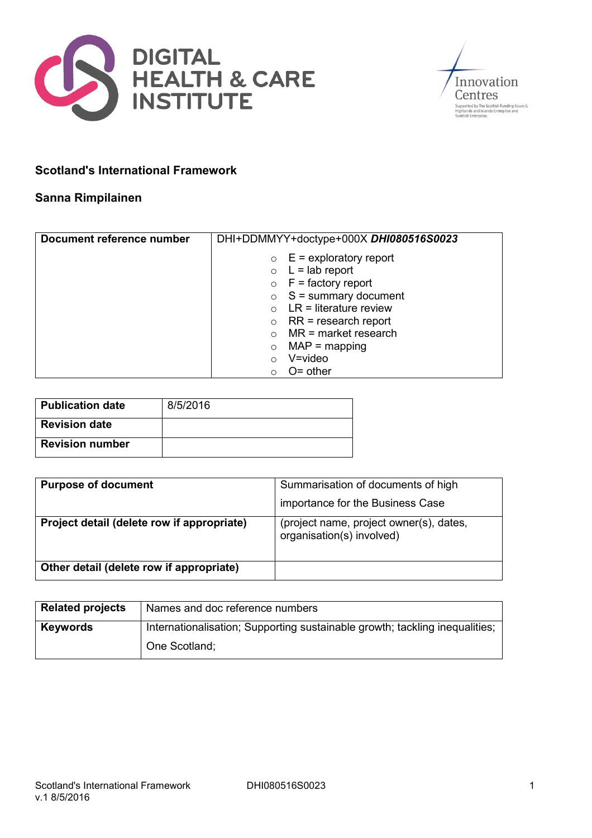



## **Scotland's International Framework**

## **Sanna Rimpilainen**

| Document reference number | DHI+DDMMYY+doctype+000X DHI080516S0023 |
|---------------------------|----------------------------------------|
|                           | $\circ$ E = exploratory report         |
|                           | $\circ$ L = lab report                 |
|                           | $\circ$ F = factory report             |
|                           | $\circ$ S = summary document           |
|                           | $LR =$ literature review               |
|                           | $RR$ = research report<br>$\circ$      |
|                           | $MR = market research$                 |
|                           | $MAP = mapping$<br>$\circ$             |
|                           | $V = video$<br>$\bigcirc$              |
|                           | $O =$ other<br>∩                       |

| <b>Publication date</b> | 8/5/2016 |
|-------------------------|----------|
| <b>Revision date</b>    |          |
| <b>Revision number</b>  |          |

| <b>Purpose of document</b>                 | Summarisation of documents of high                                   |
|--------------------------------------------|----------------------------------------------------------------------|
|                                            | importance for the Business Case                                     |
| Project detail (delete row if appropriate) | (project name, project owner(s), dates,<br>organisation(s) involved) |
| Other detail (delete row if appropriate)   |                                                                      |

| <b>Related projects</b> | Names and doc reference numbers                                             |
|-------------------------|-----------------------------------------------------------------------------|
| <b>Keywords</b>         | Internationalisation; Supporting sustainable growth; tackling inequalities; |
|                         | One Scotland;                                                               |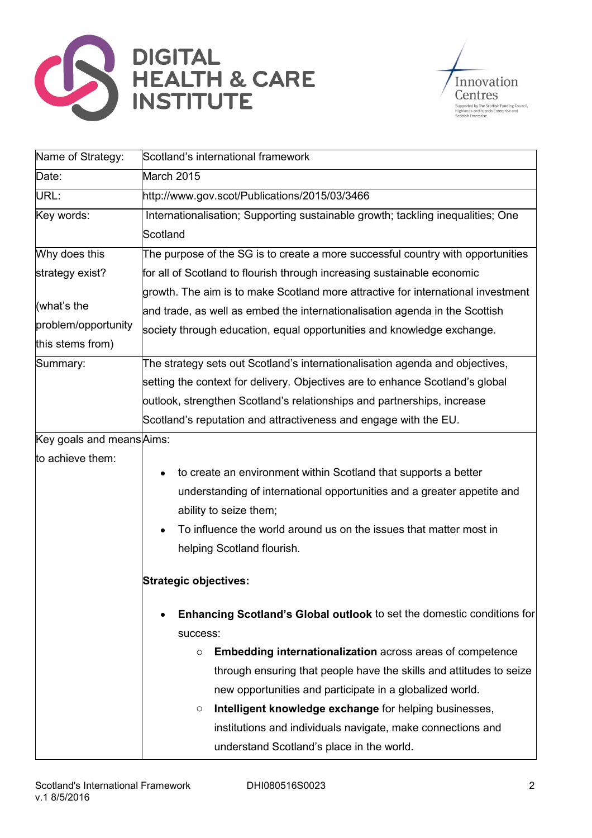



| Name of Strategy:         | Scotland's international framework                                               |
|---------------------------|----------------------------------------------------------------------------------|
| Date:                     | March 2015                                                                       |
| URL:                      | http://www.gov.scot/Publications/2015/03/3466                                    |
| Key words:                | Internationalisation; Supporting sustainable growth; tackling inequalities; One  |
|                           | Scotland                                                                         |
| Why does this             | The purpose of the SG is to create a more successful country with opportunities  |
| strategy exist?           | for all of Scotland to flourish through increasing sustainable economic          |
|                           | growth. The aim is to make Scotland more attractive for international investment |
| (what's the               | and trade, as well as embed the internationalisation agenda in the Scottish      |
| problem/opportunity       | society through education, equal opportunities and knowledge exchange.           |
| this stems from)          |                                                                                  |
| Summary:                  | The strategy sets out Scotland's internationalisation agenda and objectives,     |
|                           | setting the context for delivery. Objectives are to enhance Scotland's global    |
|                           | outlook, strengthen Scotland's relationships and partnerships, increase          |
|                           | Scotland's reputation and attractiveness and engage with the EU.                 |
| Key goals and means Aims: |                                                                                  |
| to achieve them:          |                                                                                  |
|                           | to create an environment within Scotland that supports a better                  |
|                           | understanding of international opportunities and a greater appetite and          |
|                           | ability to seize them;                                                           |
|                           | To influence the world around us on the issues that matter most in               |
|                           | helping Scotland flourish.                                                       |
|                           | <b>Strategic objectives:</b>                                                     |
|                           |                                                                                  |
|                           | <b>Enhancing Scotland's Global outlook to set the domestic conditions for</b>    |
|                           | success:                                                                         |
|                           | Embedding internationalization across areas of competence<br>O                   |
|                           | through ensuring that people have the skills and attitudes to seize              |
|                           | new opportunities and participate in a globalized world.                         |
|                           | Intelligent knowledge exchange for helping businesses,<br>O                      |
|                           | institutions and individuals navigate, make connections and                      |
|                           | understand Scotland's place in the world.                                        |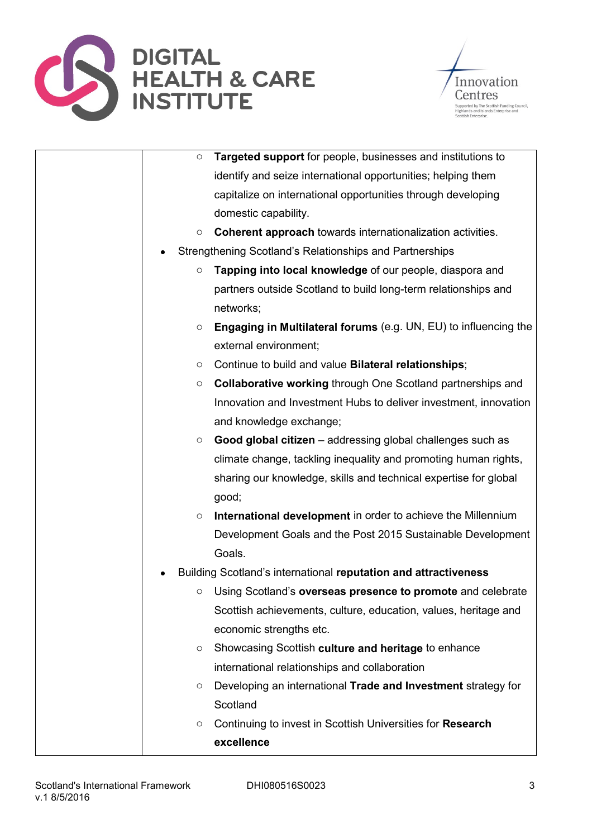



| Targeted support for people, businesses and institutions to<br>$\circ$             |
|------------------------------------------------------------------------------------|
| identify and seize international opportunities; helping them                       |
| capitalize on international opportunities through developing                       |
| domestic capability.                                                               |
| Coherent approach towards internationalization activities.<br>O                    |
| Strengthening Scotland's Relationships and Partnerships                            |
| Tapping into local knowledge of our people, diaspora and<br>$\circ$                |
| partners outside Scotland to build long-term relationships and<br>networks;        |
| <b>Engaging in Multilateral forums</b> (e.g. UN, EU) to influencing the<br>$\circ$ |
| external environment;                                                              |
| Continue to build and value Bilateral relationships;<br>O                          |
| <b>Collaborative working through One Scotland partnerships and</b><br>$\circ$      |
| Innovation and Investment Hubs to deliver investment, innovation                   |
| and knowledge exchange;                                                            |
| Good global citizen - addressing global challenges such as<br>O                    |
| climate change, tackling inequality and promoting human rights,                    |
| sharing our knowledge, skills and technical expertise for global                   |
| good;                                                                              |
| International development in order to achieve the Millennium<br>O                  |
| Development Goals and the Post 2015 Sustainable Development                        |
| Goals.                                                                             |
| Building Scotland's international reputation and attractiveness                    |
| Using Scotland's overseas presence to promote and celebrate<br>О                   |
| Scottish achievements, culture, education, values, heritage and                    |
| economic strengths etc.                                                            |
| Showcasing Scottish culture and heritage to enhance<br>O                           |
| international relationships and collaboration                                      |
| Developing an international Trade and Investment strategy for<br>O                 |
| Scotland                                                                           |
| Continuing to invest in Scottish Universities for Research<br>O                    |
| excellence                                                                         |